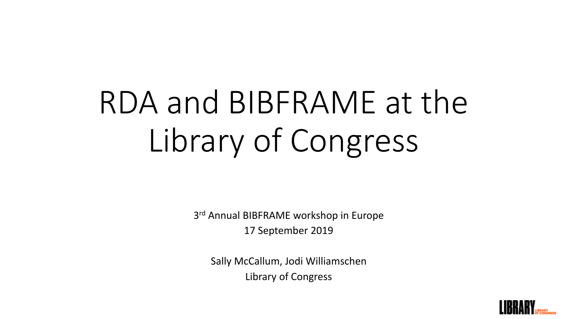# RDA and BIBFRAME at the Library of Congress

3<sup>rd</sup> Annual BIBFRAME workshop in Europe 17 September 2019

Sally McCallum, Jodi Williamschen Library of Congress

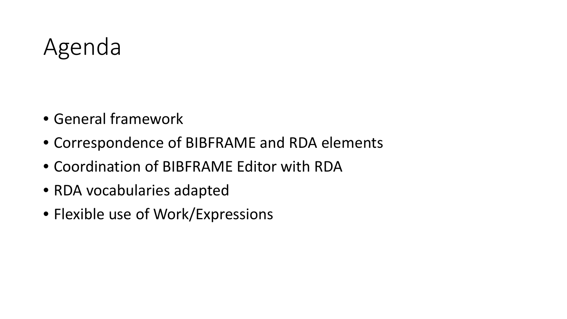## Agenda

- General framework
- Correspondence of BIBFRAME and RDA elements
- Coordination of BIBFRAME Editor with RDA
- RDA vocabularies adapted
- Flexible use of Work/Expressions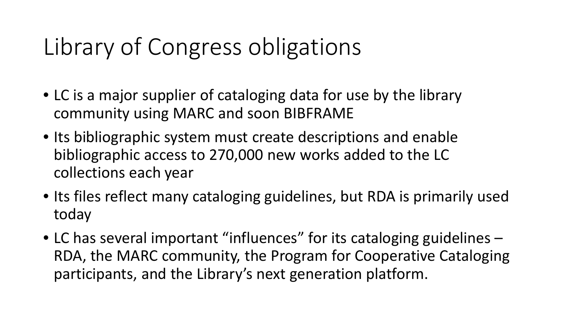# Library of Congress obligations

- LC is a major supplier of cataloging data for use by the library community using MARC and soon BIBFRAME
- Its bibliographic system must create descriptions and enable bibliographic access to 270,000 new works added to the LC collections each year
- Its files reflect many cataloging guidelines, but RDA is primarily used today
- LC has several important "influences" for its cataloging guidelines RDA, the MARC community, the Program for Cooperative Cataloging participants, and the Library's next generation platform.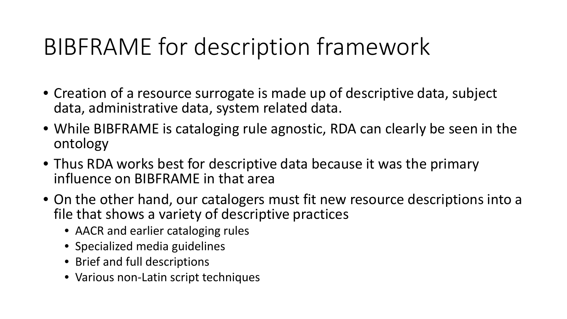# BIBFRAME for description framework

- Creation of a resource surrogate is made up of descriptive data, subject data, administrative data, system related data.
- While BIBFRAME is cataloging rule agnostic, RDA can clearly be seen in the ontology
- Thus RDA works best for descriptive data because it was the primary influence on BIBFRAME in that area
- On the other hand, our catalogers must fit new resource descriptions into a file that shows a variety of descriptive practices
	- AACR and earlier cataloging rules
	- Specialized media guidelines
	- Brief and full descriptions
	- Various non-Latin script techniques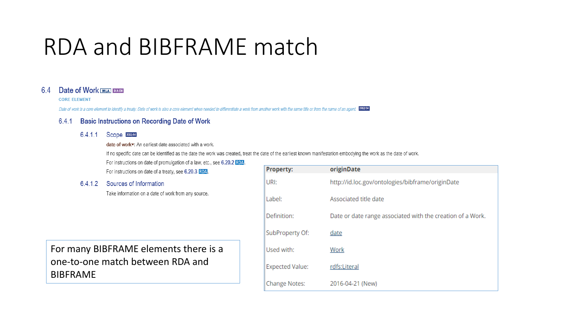### RDA and BIBFRAME match

#### 6.4 **Date of Work MLA DACH**

#### **CORE ELEMENT**

Date of work is a core element to identify a treaty. Date of work is also a core element when needed to differentiate a work from another work with the same title or from the name of an agent. 2012/04

#### **Basic Instructions on Recording Date of Work**  $6.4.1$

### 6.4.1.1 Scope 2015/04

date of workv: An earliest date associated with a work.

If no specific date can be identified as the date the work was created, treat the date of the earliest known manifestation embodying the work as the date of work.

For instructions on date of promulgation of a law, etc., see 6.20.2 RDA.

For instructions on date of a treaty, see 6.20.3 RDA.

6.4.1.2 Sources of Information

Take information on a date of work from any source.

For many BIBFRAME elements there is a one-to-one match between RDA and **BIBFRAME** 

| <b>Property:</b>       | originDate                                                 |
|------------------------|------------------------------------------------------------|
| URI:                   | http://id.loc.gov/ontologies/bibframe/originDate           |
| Label:                 | Associated title date                                      |
| Definition:            | Date or date range associated with the creation of a Work. |
| SubProperty Of:        | date                                                       |
| Used with:             | Work                                                       |
| <b>Expected Value:</b> | rdfs:Literal                                               |
| <b>Change Notes:</b>   | 2016-04-21 (New)                                           |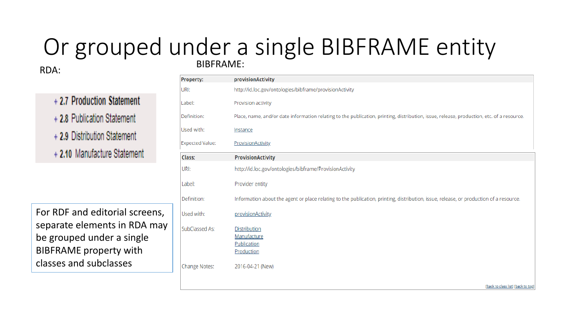### RDA: BIBFRAME: Or grouped under a single BIBFRAME entity

+ 2.7 Production Statement +2.8 Publication Statement + 2.9 Distribution Statement + 2.10 Manufacture Statement

For RDF and editorial screens, separate elements in RDA may be grouped under a single BIBFRAME property with classes and subclasses

| <b>Property:</b>       | provisionActivity                                                                                                                         |
|------------------------|-------------------------------------------------------------------------------------------------------------------------------------------|
| URI:                   | http://id.loc.gov/ontologies/bibframe/provisionActivity                                                                                   |
| Label:                 | Provision activity                                                                                                                        |
| Definition:            | Place, name, and/or date information relating to the publication, printing, distribution, issue, release, production, etc. of a resource. |
| Used with:             | Instance                                                                                                                                  |
| <b>Expected Value:</b> | <b>ProvisionActivity</b>                                                                                                                  |
| Class:                 | <b>ProvisionActivity</b>                                                                                                                  |
| URI:                   | http://id.loc.gov/ontologies/bibframe/ProvisionActivity                                                                                   |
| Label:                 | Provider entity                                                                                                                           |
| Definition:            | Information about the agent or place relating to the publication, printing, distribution, issue, release, or production of a resource.    |
| Used with:             | provisionActivity                                                                                                                         |
| SubClassed As:         | <b>Distribution</b><br>Manufacture<br>Publication<br>Production                                                                           |
| <b>Change Notes:</b>   | 2016-04-21 (New)                                                                                                                          |
|                        | [back to class list] [back to top]                                                                                                        |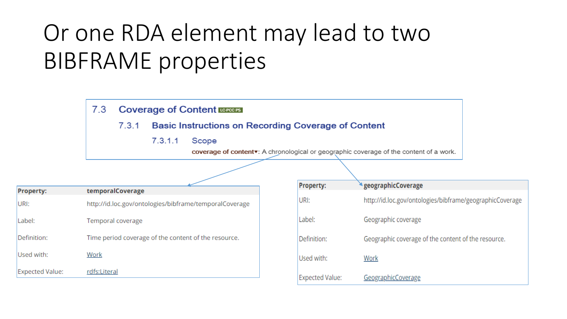# Or one RDA element may lead to two **BIBFRAME** properties

#### $7.3$ **Coverage of Content LEPROPS**

 $7.3.1$ **Basic Instructions on Recording Coverage of Content** 

> $7.3.1.1$ Scope

> > coverage of contentv: A chronological or geographic coverage of the content of a work.

| <b>Property:</b>       | temporalCoverage                                       |
|------------------------|--------------------------------------------------------|
| URI:                   | http://id.loc.gov/ontologies/bibframe/temporalCoverage |
| Label:                 | Temporal coverage                                      |
| Definition:            | Time period coverage of the content of the resource.   |
| Used with:             | Work                                                   |
| <b>Expected Value:</b> | rdfs:Literal                                           |

| <b>Property:</b>       | <i><b>AgeographicCoverage</b></i>                        |
|------------------------|----------------------------------------------------------|
| URI:                   | http://id.loc.gov/ontologies/bibframe/geographicCoverage |
| Label:                 | Geographic coverage                                      |
| Definition:            | Geographic coverage of the content of the resource.      |
| Used with:             | Work                                                     |
| <b>Expected Value:</b> | GeographicCoverage                                       |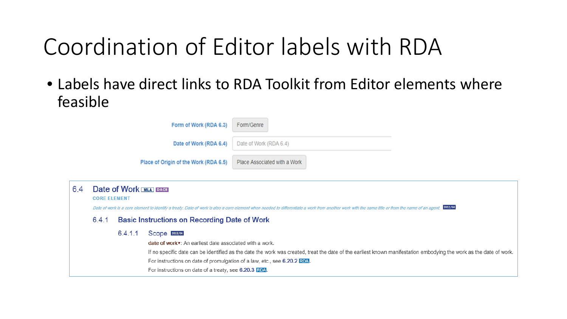# Coordination of Editor labels with RDA

• Labels have direct links to RDA Toolkit from Editor elements where feasible

|     |                                                                                                                                                                                                                                                                   |         | Form of Work (RDA 6.3)                                                                                                                                                                                         | Form/Genre                                                                                                                                                         |
|-----|-------------------------------------------------------------------------------------------------------------------------------------------------------------------------------------------------------------------------------------------------------------------|---------|----------------------------------------------------------------------------------------------------------------------------------------------------------------------------------------------------------------|--------------------------------------------------------------------------------------------------------------------------------------------------------------------|
|     |                                                                                                                                                                                                                                                                   |         | Date of Work (RDA 6.4)                                                                                                                                                                                         | Date of Work (RDA 6.4)                                                                                                                                             |
|     |                                                                                                                                                                                                                                                                   |         | Place of Origin of the Work (RDA 6.5)                                                                                                                                                                          | Place Associated with a Work                                                                                                                                       |
| 6.4 | <b>Date of Work [MLA] DACH</b><br><b>CORE ELEMENT</b><br>Date of work is a core element to identify a treaty. Date of work is also a core element when needed to differentiate a work from another work with the same title or from the name of an agent. 2012/04 |         |                                                                                                                                                                                                                |                                                                                                                                                                    |
|     | 6.4.1                                                                                                                                                                                                                                                             |         | <b>Basic Instructions on Recording Date of Work</b>                                                                                                                                                            |                                                                                                                                                                    |
|     |                                                                                                                                                                                                                                                                   | 6.4.1.1 | Scope 2015/04<br>date of work •: An earliest date associated with a work.<br>For instructions on date of promulgation of a law, etc., see 6.20.2 RDA.<br>For instructions on date of a treaty, see 6.20.3 RDA. | If no specific date can be identified as the date the work was created, treat the date of the earliest known manifestation embodying the work as the date of work. |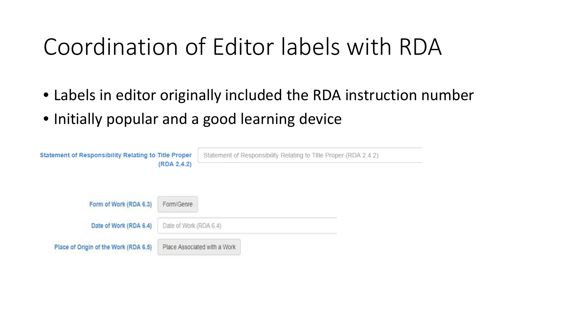# Coordination of Editor labels with RDA

- Labels in editor originally included the RDA instruction number
- Initially popular and a good learning device

| <b>Statement of Responsibility Relating to Title Proper</b> |                        | Statement of Responsibility Relating to Title Proper (RDA 2.4.2) |
|-------------------------------------------------------------|------------------------|------------------------------------------------------------------|
| (RDA 2.4.2)                                                 |                        |                                                                  |
|                                                             |                        |                                                                  |
| Form of Work (RDA 6.3)                                      | Form/Genre             |                                                                  |
| Date of Work (RDA 6.4)                                      | Date of Work (RDA 6.4) |                                                                  |
| Place of Origin of the Work (RDA 6.5)                       |                        | Place Associated with a Work                                     |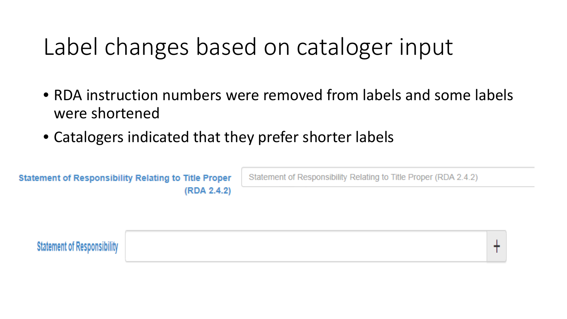# Label changes based on cataloger input

- RDA instruction numbers were removed from labels and some labels were shortened
- Catalogers indicated that they prefer shorter labels

**Statement of Responsibility Relating to Title Proper** (RDA 2.4.2)

Statement of Responsibility Relating to Title Proper (RDA 2.4.2)

**Statement of Responsibility**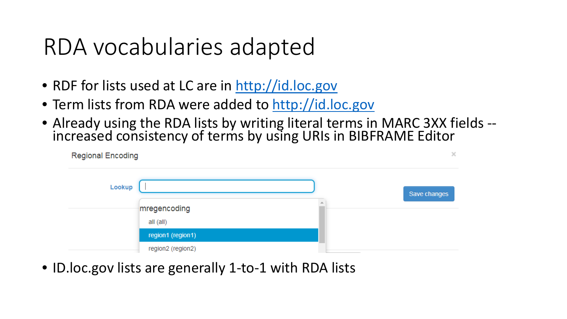### RDA vocabularies adapted

- RDF for lists used at LC are in [http://id.loc.gov](http://id.loc.gov/)
- Term lists from RDA were added to [http://id.loc.gov](http://id.loc.gov/)
- Already using the RDA lists by writing literal terms in MARC 3XX fields -- increased consistency of terms by using URIs in BIBFRAME Editor

| <b>Regional Encoding</b> |                   |              |
|--------------------------|-------------------|--------------|
| Lookup                   |                   | Save changes |
|                          | mregencoding      |              |
|                          | all (all)         |              |
|                          | region1 (region1) |              |
|                          | region2 (region2) |              |

• ID.loc.gov lists are generally 1-to-1 with RDA lists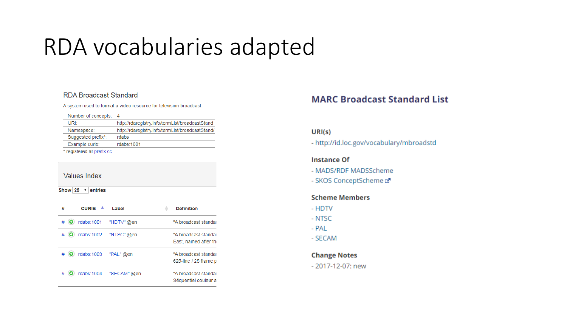# RDA vocabularies adapted

### **RDA Broadcast Standard**

A system used to format a video resource for television broadcast.

|  |  |  | Number of concepts: | 4 |
|--|--|--|---------------------|---|
|--|--|--|---------------------|---|

| URIt                      | http://rdaregistry.info/termList/broadcastStand  |
|---------------------------|--------------------------------------------------|
| Namespace:                | http://rdaregistry.info/termList/broadcastStand/ |
| Suggested prefix*:        | rdabs                                            |
| Example curie:            | rdabs: 1001                                      |
| * registered at prefix.cc |                                                  |

### **Values Index**

Show  $25 \times$  entries

| # | <b>CURIE</b>          | Label                  | <b>Definition</b>                             |
|---|-----------------------|------------------------|-----------------------------------------------|
| # |                       | rdabs:1001 "HDTV" @en  | "A broadcast standar                          |
|   |                       | rdabs:1002 "NTSC"@en   | "A broadcast standar<br>East, named after the |
|   | rdabs:1003  "PAL" @en |                        | "A broadcast standar<br>625-line / 25 frame p |
|   |                       | rdabs:1004 "SECAM" @en | "A broadcast standar<br>Séquentiel couleur a  |

### **MARC Broadcast Standard List**

### URI(s)

- http://id.loc.gov/vocabulary/mbroadstd

### **Instance Of**

- MADS/RDF MADSScheme
- SKOS ConceptScheme

### **Scheme Members**

- HDTV
- NTSC
- PAL
- SECAM

**Change Notes** - 2017-12-07: new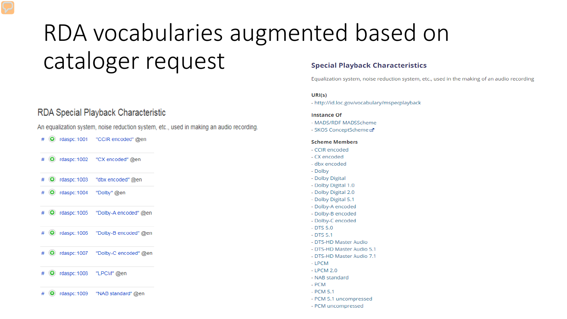### RDA vocabularies augmented based on cataloger request **Special Playback Characteristics**

### RDA Special Playback Characteristic

An equalization system, noise reduction system, etc., used in making an audio recording.

- # O rdaspc:1001 "CCIR encoded" @en
- # O rdaspc:1002 "CX encoded" @en
- rdaspc:1003 "dbx encoded" @en  $\odot$
- $\bullet$  rdaspc: 1004 "Dolby" @en  $#$
- rdaspc:1005 "Dolby-A encoded" @en  $\odot$
- **O** rdaspc: 1006 "Dolby-B encoded" @en  $#$
- **O** rdaspc:1007 "Dolby-C encoded" @en  $#$

#### O rdaspc:1008 "LPCM" @en

rdaspc: 1009  $\odot$ "NAB standard" @en #

Equalization system, noise reduction system, etc., used in the making of an audio recording

#### $URI(s)$

- http://id.loc.gov/vocabulary/mspecplayback

#### **Instance Of**

- MADS/RDF MADSScheme
- SKOS ConceptScheme &

#### **Scheme Members**

- CCIR encoded
- CX encoded
- dbx encoded
- Dolby
- Dolby Digital
- Dolby Digital 1.0
- Dolby Digital 2.0
- Dolby Digital 5.1
- Dolby-A encoded
- Dolby-B encoded
- Dolby-C encoded
- $-$  DTS 5.0
- $-$  DTS 5.1
- DTS-HD Master Audio
- DTS-HD Master Audio 5.1
- DTS-HD Master Audio 7.1
- LPCM
- $-$  LPCM 2.0
- NAB standard
- PCM
- $-$  PCM 5.1
- PCM 5.1 uncompressed
- PCM uncompressed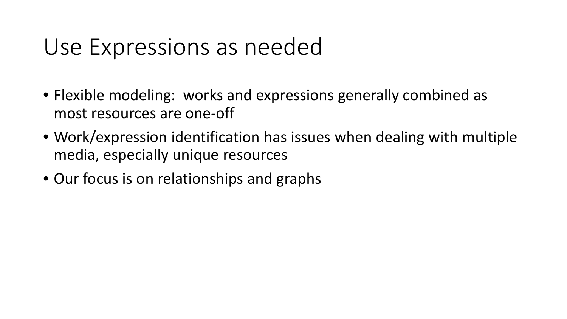### Use Expressions as needed

- Flexible modeling: works and expressions generally combined as most resources are one-off
- Work/expression identification has issues when dealing with multiple media, especially unique resources
- Our focus is on relationships and graphs